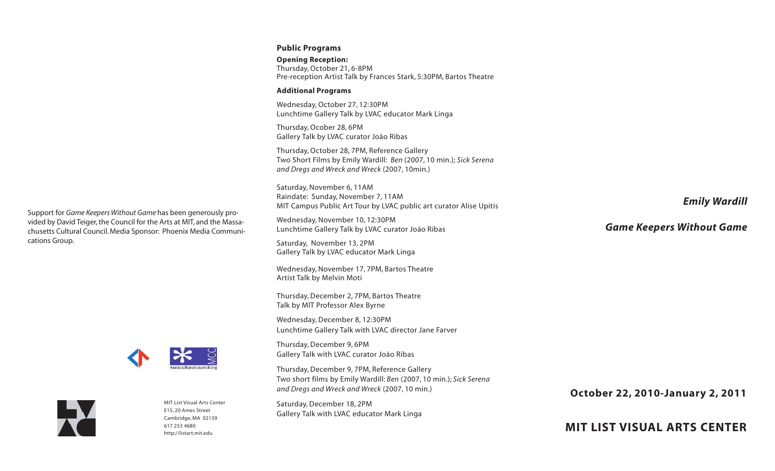### **Public Programs**

**Opening Reception:** Thursday, October 21, 6-8PM Pre-reception Artist Talk by Frances Stark, 5:30PM, Bartos Theatre

### **Additional Programs**

Wednesday, October 27, 12:30PM Lunchtime Gallery Talk by LVAC educator Mark Linga

Thursday, Ocober 28, 6PM Gallery Talk by LVAC curator João Ribas

Thursday, October 28, 7PM, Reference Gallery Two Short Films by Emily Wardill: *Ben* (2007, 10 min.); *Sick Serena and Dregs and Wreck and Wreck* (2007, 10min.)

Saturday, November 6, 11AM Raindate: Sunday, November 7, 11AM MIT Campus Public Art Tour by LVAC public art curator Alise Upitis

Wednesday, November 10, 12:30PM Lunchtime Gallery Talk by LVAC curator João Ribas

Saturday, November 13, 2PM Gallery Talk by LVAC educator Mark Linga

Wednesday, November 17, 7PM, Bartos Theatre Artist Talk by Melvin Moti

Thursday, December 2, 7PM, Bartos Theatre Talk by MIT Professor Alex Byrne

Wednesday, December 8, 12:30PM Lunchtime Gallery Talk with LVAC director Jane Farver

Thursday, December 9, 6PM Gallery Talk with LVAC curator João Ribas

Thursday, December 9, 7PM, Reference Gallery Two short films by Emily Wardill: *Ben* (2007, 10 min.); *Sick Serena and Dregs and Wreck and Wreck* (2007, 10 min.)

Saturday, December 18, 2PM Gallery Talk with LVAC educator Mark Linga *Emily Wardill*

## *Game Keepers Without Game*

**October 22, 2010-January 2, 2011**

**MIT LIST VISUAL ARTS CENTER**

Support for *Game Keepers Without Game* has been generously provided by David Teiger, the Council for the Arts at MIT, and the Massachusetts Cultural Council. Media Sponsor: Phoenix Media Communications Group.





MIT List Visual Arts Center E15, 20 Ames Street Cambridge, MA 02139 617 253 [4680](tel:6172534680) <http://listart.mit.edu>